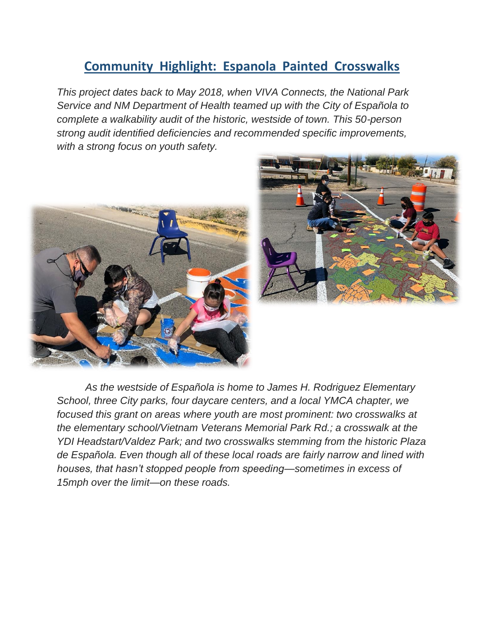## **Community Highlight: Espanola Painted Crosswalks**

*This project dates back to May 2018, when VIVA Connects, the National Park Service and NM Department of Health teamed up with the City of Española to complete a walkability audit of the historic, westside of town. This 50-person strong audit identified deficiencies and recommended specific improvements, with a strong focus on youth safety.* 





*As the westside of Española is home to James H. Rodriguez Elementary School, three City parks, four daycare centers, and a local YMCA chapter, we focused this grant on areas where youth are most prominent: two crosswalks at the elementary school/Vietnam Veterans Memorial Park Rd.; a crosswalk at the YDI Headstart/Valdez Park; and two crosswalks stemming from the historic Plaza de Española. Even though all of these local roads are fairly narrow and lined with houses, that hasn't stopped people from speeding—sometimes in excess of 15mph over the limit—on these roads.*